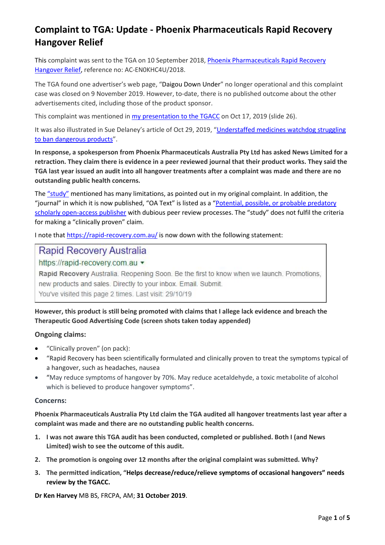This complaint was sent to the TGA on 10 September 2018, Phoenix [Pharmaceuticals](http://www.medreach.com.au/wp-content/uploads/2018/09/Complaint-to-TGA-Phoenix-Pharmaceuticals-Rapid-Recovery-Hangover-Relief.pdf) Rapid Recovery [Hangover](http://www.medreach.com.au/wp-content/uploads/2018/09/Complaint-to-TGA-Phoenix-Pharmaceuticals-Rapid-Recovery-Hangover-Relief.pdf) Relief, reference no: AC-EN0KHC4U/2018.

The TGA found one advertiser's web page, "Daigou Down Under" no longer operational and this complaint case was closed on 9 November 2019. However, to-date, there is no published outcome about the other advertisements cited, including those of the product sponsor.

This complaint was mentioned in [my presentation to the TGACC](http://www.medreach.com.au/wp-content/uploads/2019/10/TGACC-Oct-17-2019-An-evaluation-of-the-first-12-months-of-TGA%E2%80%99s-new-advertising-system.pdf) on Oct 17, 2019 (slide 26).

It was also illustrated in Sue Delaney's article of Oct 29, 2019, ["Understaffed medicines watchdog struggling](https://medreach.com.au/wp-content/uploads/2019/10/TGA-failing-to-ban-dangerous-medicines-and-block-shonky-advertising-_-Daily-Telegraph.pdf)  [to ban dangerous products"](https://medreach.com.au/wp-content/uploads/2019/10/TGA-failing-to-ban-dangerous-medicines-and-block-shonky-advertising-_-Daily-Telegraph.pdf).

**In response, a spokesperson from Phoenix Pharmaceuticals Australia Pty Ltd has asked News Limited for a retraction. They claim there is evidence in a peer reviewed journal that their product works. They said the TGA last year issued an audit into all hangover treatments after a complaint was made and there are no outstanding public health concerns.**

The ["study"](https://www.oatext.com/a-post-marketing-evaluation-of-the-efficacy-of-rapid-recovery-in-reducing-symptoms-of-hangover.php) mentioned has many limitations, as pointed out in my original complaint. In addition, the "journal" in which it is now published, "OA Text" is listed as a ["Potential, possible, or probable predatory](https://clinicallibrarian.wordpress.com/2017/01/23/bealls-list-of-predatory-publishers/)  [scholarly open-access publisher](https://clinicallibrarian.wordpress.com/2017/01/23/bealls-list-of-predatory-publishers/) with dubious peer review processes. The "study" does not fulfil the criteria for making a "clinically proven" claim.

I note that<https://rapid-recovery.com.au/> is now down with the following statement:

### **Rapid Recovery Australia**

https://rapid-recovery.com.au v

Rapid Recovery Australia. Reopening Soon. Be the first to know when we launch. Promotions, new products and sales. Directly to your inbox. Email. Submit. You've visited this page 2 times. Last visit: 29/10/19

#### **However, this product is still being promoted with claims that I allege lack evidence and breach the Therapeutic Good Advertising Code (screen shots taken today appended)**

#### **Ongoing claims:**

- "Clinically proven" (on pack):
- "Rapid Recovery has been scientifically formulated and clinically proven to treat the symptoms typical of a hangover, such as headaches, nausea
- "May reduce symptoms of hangover by 70%. May reduce acetaldehyde, a toxic metabolite of alcohol which is believed to produce hangover symptoms".

#### **Concerns:**

**Phoenix Pharmaceuticals Australia Pty Ltd claim the TGA audited all hangover treatments last year after a complaint was made and there are no outstanding public health concerns.**

- **1. I was not aware this TGA audit has been conducted, completed or published. Both I (and News Limited) wish to see the outcome of this audit.**
- **2. The promotion is ongoing over 12 months after the original complaint was submitted. Why?**
- **3. The permitted indication, "Helps decrease/reduce/relieve symptoms of occasional hangovers" needs review by the TGACC.**

**Dr Ken Harvey** MB BS, FRCPA, AM; **31 October 2019**.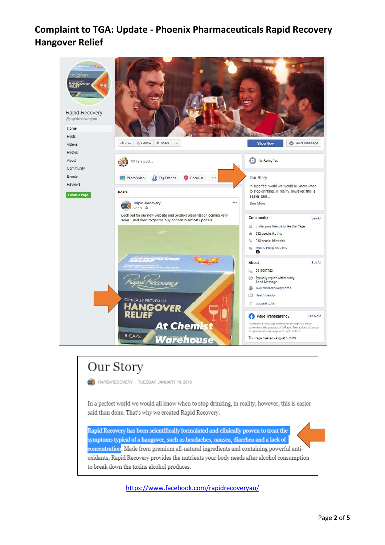

# Our Story

RAPID-RECOVERY · TUESDAY, JANUARY 16, 2018

In a perfect world we would all know when to stop drinking, in reality, however, this is easier said than done. That's why we created Rapid Recovery.

Rapid Recovery has been scientifically formulated and clinically proven to treat the symptoms typical of a hangover, such as headaches, nausea, diarrhea and a lack of concentration. Made from premium all-natural ingredients and containing powerful antioxidants, Rapid Recovery provides the nutrients your body needs after alcohol consumption to break down the toxins alcohol produces.

<https://www.facebook.com/rapidrecoveryau/>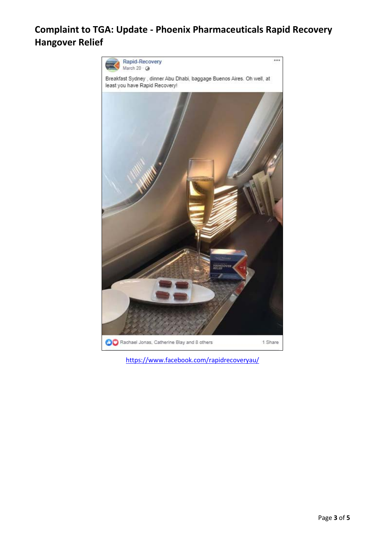

<https://www.facebook.com/rapidrecoveryau/>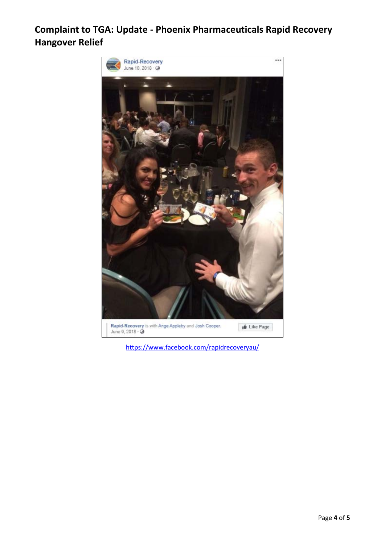

<https://www.facebook.com/rapidrecoveryau/>